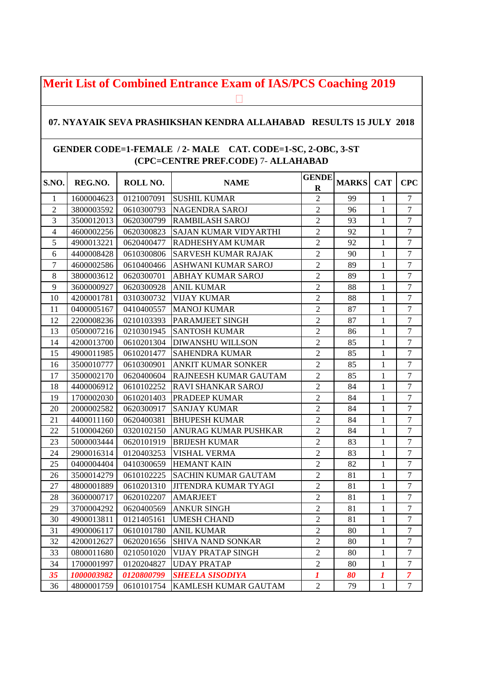## **Merit List of Combined Entrance Exam of IAS/PCS Coaching 2019**

## **07. NYAYAIK SEVA PRASHIKSHAN KENDRA ALLAHABAD RESULTS 15 JULY 2018**

## **GENDER CODE=1-FEMALE / 2- MALE CAT. CODE=1-SC, 2-OBC, 3-ST (CPC=CENTRE PREF.CODE)** 7- **ALLAHABAD**

| S.NO.          | REG.NO.    | ROLL NO.   | <b>NAME</b>                  | <b>GENDE</b><br>$\bf R$ | <b>MARKS</b> | <b>CAT</b>   | <b>CPC</b>       |
|----------------|------------|------------|------------------------------|-------------------------|--------------|--------------|------------------|
| 1              | 1600004623 | 0121007091 | <b>SUSHIL KUMAR</b>          | $\overline{2}$          | 99           | $\mathbf{1}$ | $\overline{7}$   |
| $\overline{2}$ | 3800003592 | 0610300793 | <b>NAGENDRA SAROJ</b>        | $\overline{c}$          | 96           | $\mathbf{1}$ | $\overline{7}$   |
| 3              | 3500012013 | 0620300799 | <b>RAMBILASH SAROJ</b>       | $\overline{2}$          | 93           | $\mathbf{1}$ | $\overline{7}$   |
| $\overline{4}$ | 4600002256 | 0620300823 | <b>SAJAN KUMAR VIDYARTHI</b> | $\overline{2}$          | 92           | $\mathbf{1}$ | $\overline{7}$   |
| 5              | 4900013221 | 0620400477 | <b>RADHESHYAM KUMAR</b>      | $\overline{2}$          | 92           | $\mathbf{1}$ | $\overline{7}$   |
| 6              | 4400008428 | 0610300806 | <b>SARVESH KUMAR RAJAK</b>   | $\sqrt{2}$              | 90           | 1            | $\boldsymbol{7}$ |
| 7              | 4600002586 | 0610400466 | <b>ASHWANI KUMAR SAROJ</b>   | $\overline{2}$          | 89           | $\mathbf{1}$ | $\overline{7}$   |
| 8              | 3800003612 | 0620300701 | <b>ABHAY KUMAR SAROJ</b>     | $\overline{c}$          | 89           | $\mathbf{1}$ | $\tau$           |
| 9              | 3600000927 | 0620300928 | <b>ANIL KUMAR</b>            | $\overline{c}$          | 88           | $\mathbf{1}$ | $\overline{7}$   |
| 10             | 4200001781 | 0310300732 | <b>VIJAY KUMAR</b>           | $\overline{2}$          | 88           | $\mathbf{1}$ | $\overline{7}$   |
| 11             | 0400005167 | 0410400557 | <b>MANOJ KUMAR</b>           | $\overline{2}$          | 87           | $\mathbf{1}$ | $\tau$           |
| 12             | 2200008236 | 0210103393 | PARAMJEET SINGH              | $\overline{c}$          | 87           | $\mathbf{1}$ | $\overline{7}$   |
| 13             | 0500007216 | 0210301945 | <b>SANTOSH KUMAR</b>         | $\overline{2}$          | 86           | $\mathbf{1}$ | $\overline{7}$   |
| 14             | 4200013700 | 0610201304 | <b>DIWANSHU WILLSON</b>      | $\overline{c}$          | 85           | $\mathbf{1}$ | $\overline{7}$   |
| 15             | 4900011985 | 0610201477 | <b>SAHENDRA KUMAR</b>        | $\overline{2}$          | 85           | $\mathbf{1}$ | $\overline{7}$   |
| 16             | 3500010777 | 0610300901 | <b>ANKIT KUMAR SONKER</b>    | $\overline{c}$          | 85           | $\mathbf{1}$ | $\boldsymbol{7}$ |
| 17             | 3500002170 | 0620400604 | RAJNEESH KUMAR GAUTAM        | $\overline{2}$          | 85           | $\mathbf{1}$ | $\overline{7}$   |
| 18             | 4400006912 | 0610102252 | <b>RAVI SHANKAR SAROJ</b>    | $\overline{2}$          | 84           | $\mathbf{1}$ | $\overline{7}$   |
| 19             | 1700002030 | 0610201403 | PRADEEP KUMAR                | $\overline{c}$          | 84           | $\mathbf{1}$ | $\overline{7}$   |
| 20             | 2000002582 | 0620300917 | <b>SANJAY KUMAR</b>          | $\overline{2}$          | 84           | $\mathbf{1}$ | $\overline{7}$   |
| 21             | 4400011160 | 0620400381 | <b>BHUPESH KUMAR</b>         | $\overline{2}$          | 84           | $\mathbf{1}$ | $\tau$           |
| 22             | 5100004260 | 0320102150 | ANURAG KUMAR PUSHKAR         | $\overline{2}$          | 84           | $\mathbf{1}$ | $\overline{7}$   |
| 23             | 5000003444 | 0620101919 | <b>BRIJESH KUMAR</b>         | $\overline{2}$          | 83           | $\mathbf{1}$ | $\overline{7}$   |
| 24             | 2900016314 | 0120403253 | <b>VISHAL VERMA</b>          | $\overline{c}$          | 83           | $\mathbf{1}$ | $\overline{7}$   |
| 25             | 0400004404 | 0410300659 | <b>HEMANT KAIN</b>           | $\overline{2}$          | 82           | $\mathbf{1}$ | $\tau$           |
| 26             | 3500014279 | 0610102225 | <b>SACHIN KUMAR GAUTAM</b>   | $\overline{2}$          | 81           | 1            | $\overline{7}$   |
| 27             | 4800001889 | 0610201310 | <b>JITENDRA KUMAR TYAGI</b>  | $\overline{c}$          | 81           | $\mathbf{1}$ | $\overline{7}$   |
| 28             | 3600000717 | 0620102207 | <b>AMARJEET</b>              | $\overline{2}$          | 81           | $\mathbf{1}$ | $\overline{7}$   |
| 29             | 3700004292 | 0620400569 | <b>ANKUR SINGH</b>           | $\overline{2}$          | 81           | $\mathbf{1}$ | $\boldsymbol{7}$ |
| 30             | 4900013811 | 0121405161 | <b>UMESH CHAND</b>           | $\overline{c}$          | 81           | $\mathbf{1}$ | $\tau$           |
| 31             | 4900006117 | 0610101780 | <b>ANIL KUMAR</b>            | $\overline{c}$          | 80           | $\,1$        | $\boldsymbol{7}$ |
| 32             | 4200012627 | 0620201656 | <b>SHIVA NAND SONKAR</b>     | $\overline{c}$          | 80           | $\mathbf{1}$ | $\tau$           |
| 33             | 0800011680 | 0210501020 | <b>VIJAY PRATAP SINGH</b>    | $\mathfrak{2}$          | 80           | $\mathbf{1}$ | $\tau$           |
| 34             | 1700001997 | 0120204827 | <b>UDAY PRATAP</b>           | $\overline{c}$          | 80           | $\mathbf{1}$ | $\overline{7}$   |
| 35             | 1000003982 | 0120800799 | <b>SHEELA SISODIYA</b>       | $\boldsymbol{l}$        | 80           | 1            | $\overline{7}$   |
| 36             | 4800001759 | 0610101754 | KAMLESH KUMAR GAUTAM         | $\overline{c}$          | 79           | 1            | 7                |